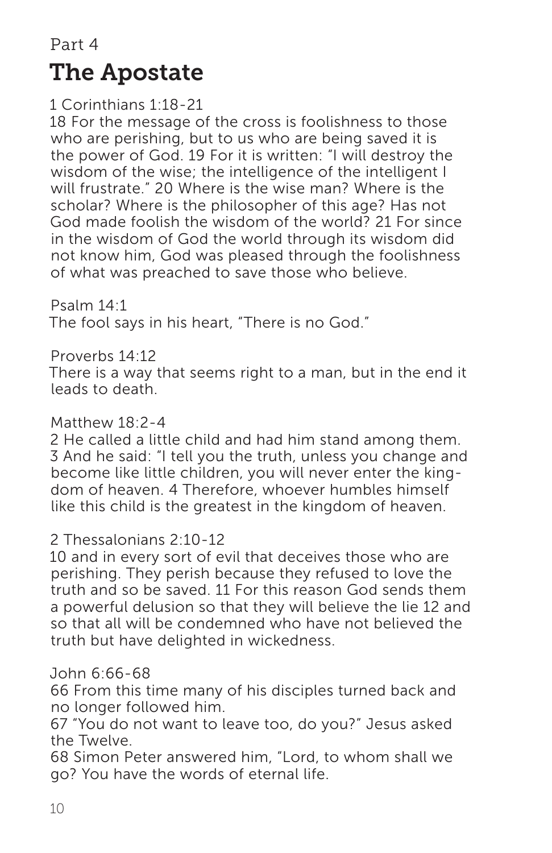Part 4 The Apostate

1 Corinthians 1:18-21

18 For the message of the cross is foolishness to those who are perishing, but to us who are being saved it is the power of God. 19 For it is written: "I will destroy the wisdom of the wise; the intelligence of the intelligent I will frustrate." 20 Where is the wise man? Where is the scholar? Where is the philosopher of this age? Has not God made foolish the wisdom of the world? 21 For since in the wisdom of God the world through its wisdom did not know him, God was pleased through the foolishness of what was preached to save those who believe.

Psalm 14:1 The fool says in his heart, "There is no God."

Proverbs 14:12

There is a way that seems right to a man, but in the end it leads to death.

### Matthew 18:2-4

2 He called a little child and had him stand among them. 3 And he said: "I tell you the truth, unless you change and become like little children, you will never enter the kingdom of heaven. 4 Therefore, whoever humbles himself like this child is the greatest in the kingdom of heaven.

#### 2 Thessalonians 2:10-12

10 and in every sort of evil that deceives those who are perishing. They perish because they refused to love the truth and so be saved. 11 For this reason God sends them a powerful delusion so that they will believe the lie 12 and so that all will be condemned who have not believed the truth but have delighted in wickedness.

#### John 6:66-68

66 From this time many of his disciples turned back and no longer followed him.

67 "You do not want to leave too, do you?" Jesus asked the Twelve.

68 Simon Peter answered him, "Lord, to whom shall we go? You have the words of eternal life.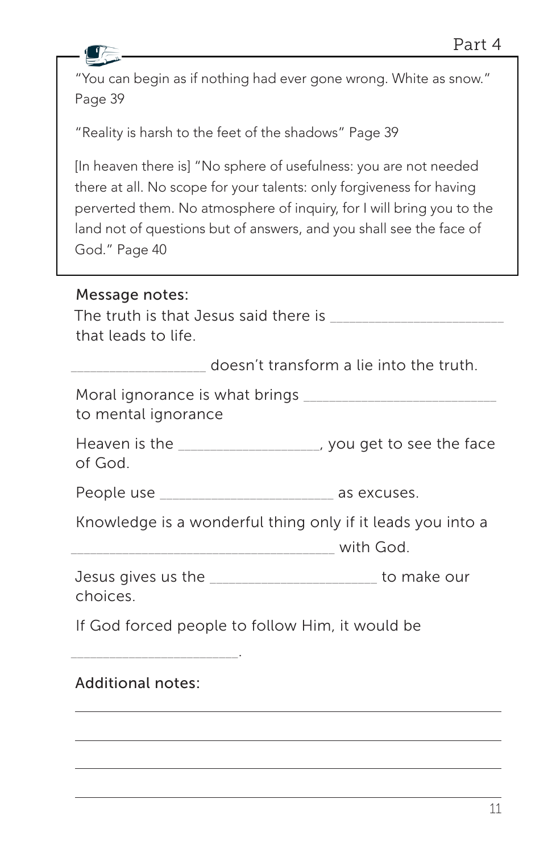| "You can begin as if nothing had ever gone wrong. White as snow."<br>Page 39                                                                                                                                                                                                                               |  |
|------------------------------------------------------------------------------------------------------------------------------------------------------------------------------------------------------------------------------------------------------------------------------------------------------------|--|
| "Reality is harsh to the feet of the shadows" Page 39                                                                                                                                                                                                                                                      |  |
| [In heaven there is] "No sphere of usefulness: you are not needed<br>there at all. No scope for your talents: only forgiveness for having<br>perverted them. No atmosphere of inquiry, for I will bring you to the<br>land not of questions but of answers, and you shall see the face of<br>God." Page 40 |  |
| Message notes:<br>that leads to life.                                                                                                                                                                                                                                                                      |  |
| doesn't transform a lie into the truth.                                                                                                                                                                                                                                                                    |  |
| to mental ignorance                                                                                                                                                                                                                                                                                        |  |
| Heaven is the ____________________, you get to see the face<br>of God.                                                                                                                                                                                                                                     |  |
| People use ________________________________ as excuses.                                                                                                                                                                                                                                                    |  |
| Knowledge is a wonderful thing only if it leads you into a                                                                                                                                                                                                                                                 |  |
| Jesus gives us the _______________________ to make our<br>choices.                                                                                                                                                                                                                                         |  |
| If God forced people to follow Him, it would be                                                                                                                                                                                                                                                            |  |
| <b>Additional notes:</b>                                                                                                                                                                                                                                                                                   |  |
|                                                                                                                                                                                                                                                                                                            |  |
|                                                                                                                                                                                                                                                                                                            |  |

 $\sqrt{1}$